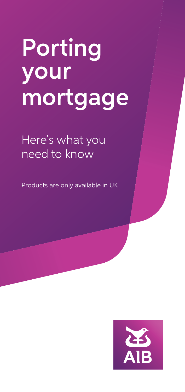# Porting your mortgage

Here's what you need to know

Products are only available in UK

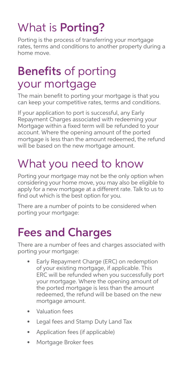# What is Porting?

Porting is the process of transferring your mortgage rates, terms and conditions to another property during a home move.

#### Benefits of porting your mortgage

The main benefit to porting your mortgage is that you can keep your competitive rates, terms and conditions.

If your application to port is successful, any Early Repayment Charges associated with redeeming your Mortgage within a fixed term will be refunded to your account. Where the opening amount of the ported mortgage is less than the amount redeemed, the refund will be based on the new mortgage amount.

# What you need to know

Porting your mortgage may not be the only option when considering your home move, you may also be eligible to apply for a new mortgage at a different rate. Talk to us to find out which is the best option for you.

There are a number of points to be considered when porting your mortgage:

### Fees and Charges

There are a number of fees and charges associated with porting your mortgage:

- Early Repayment Charge (ERC) on redemption of your existing mortgage, if applicable. This ERC will be refunded when you successfully port your mortgage. Where the opening amount of the ported mortgage is less than the amount redeemed, the refund will be based on the new mortgage amount.
- Valuation fees
- Legal fees and Stamp Duty Land Tax
- Application fees (if applicable)
- Mortgage Broker fees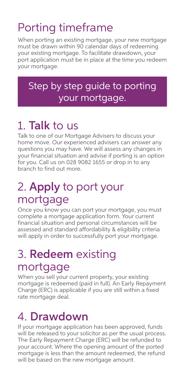# Porting timeframe

When porting an existing mortgage, your new mortgage must be drawn within 90 calendar days of redeeming your existing mortgage. To facilitate drawdown, your port application must be in place at the time you redeem your mortgage.

#### Step by step guide to porting your mortgage.

# 1. Talk to us

Talk to one of our Mortgage Advisers to discuss your home move. Our experienced advisers can answer any questions you may have. We will assess any changes in your financial situation and advise if porting is an option for you. Call us on 028 9082 1655 or drop in to any branch to find out more.

# 2. Apply to port your mortgage

Once you know you can port your mortgage, you must complete a mortgage application form. Your current financial situation and personal circumstances will be assessed and standard affordability & eligibility criteria will apply in order to successfully port your mortgage.

### 3. Redeem existing mortgage

When you sell your current property, your existing mortgage is redeemed (paid in full). An Early Repayment Charge (ERC) is applicable if you are still within a fixed rate mortgage deal.

### 4. Drawdown

If your mortgage application has been approved, funds will be released to your solicitor as per the usual process. The Early Repayment Charge (ERC) will be refunded to your account. Where the opening amount of the ported mortgage is less than the amount redeemed, the refund will be based on the new mortgage amount.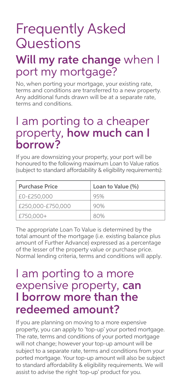# Frequently Asked Questions

#### Will my rate change when I port my mortgage?

No, when porting your mortgage, your existing rate, terms and conditions are transferred to a new property. Any additional funds drawn will be at a separate rate, terms and conditions.

#### I am porting to a cheaper property, how much can I borrow?

If you are downsizing your property, your port will be honoured to the following maximum Loan to Value ratios (subject to standard affordability & eligibility requirements):

| <b>Purchase Price</b> | Loan to Value (%) |
|-----------------------|-------------------|
| £0-£250.000           | 95%               |
| £250,000-£750,000     | 90%               |
| £750.000+             | 80%               |

The appropriate Loan To Value is determined by the total amount of the mortgage (i.e. existing balance plus amount of Further Advance) expressed as a percentage of the lesser of the property value or purchase price. Normal lending criteria, terms and conditions will apply.

#### I am porting to a more expensive property, can I borrow more than the redeemed amount?

If you are planning on moving to a more expensive property, you can apply to 'top-up' your ported mortgage. The rate, terms and conditions of your ported mortgage will not change; however your top-up amount will be subject to a separate rate, terms and conditions from your ported mortgage. Your top-up amount will also be subject to standard affordability & eligibility requirements. We will assist to advise the right 'top-up' product for you.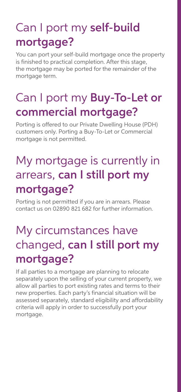# Can I port my self-build mortgage?

You can port your self-build mortgage once the property is finished to practical completion. After this stage, the mortgage may be ported for the remainder of the mortgage term.

# Can I port my **Buy-To-Let or** commercial mortgage?

Porting is offered to our Private Dwelling House (PDH) customers only. Porting a Buy-To-Let or Commercial mortgage is not permitted.

# My mortgage is currently in arrears, can I still port my mortgage?

Porting is not permitted if you are in arrears. Please contact us on 02890 821 682 for further information.

# My circumstances have changed, can I still port my mortgage?

If all parties to a mortgage are planning to relocate separately upon the selling of your current property, we allow all parties to port existing rates and terms to their new properties. Each party's financial situation will be assessed separately, standard eligibility and affordability criteria will apply in order to successfully port your mortgage.